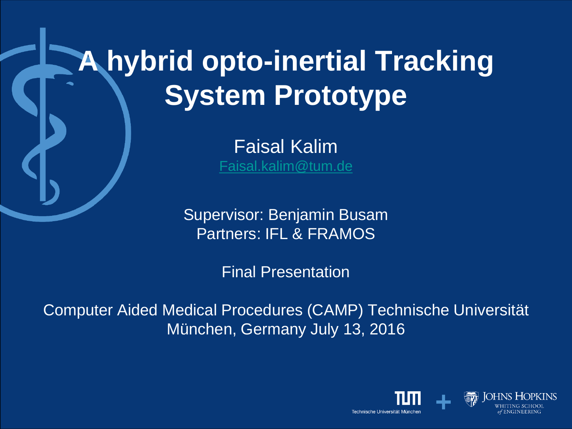# **A hybrid opto-inertial Tracking System Prototype**

Faisal Kalim [Faisal.kalim@tum.de](mailto:Faisal.kalim@tum.de)

Supervisor: Benjamin Busam Partners: IFL & FRAMOS

Final Presentation

Computer Aided Medical Procedures (CAMP) Technische Universität München, Germany July 13, 2016

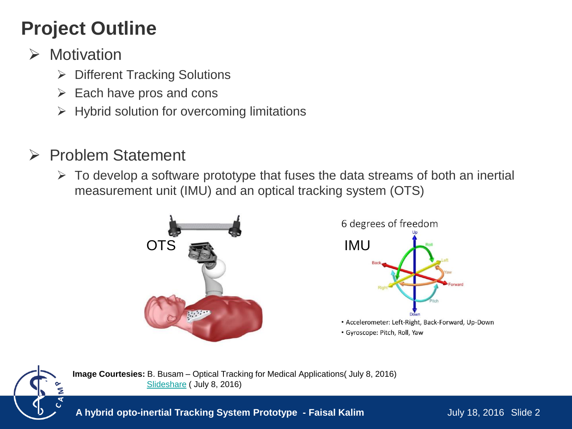# **Project Outline**

- $\triangleright$  Motivation
	- **▶ Different Tracking Solutions**
	- $\triangleright$  Each have pros and cons
	- $\triangleright$  Hybrid solution for overcoming limitations
- $\triangleright$  Problem Statement
	- $\triangleright$  To develop a software prototype that fuses the data streams of both an inertial measurement unit (IMU) and an optical tracking system (OTS)







**Image Courtesies:** B. Busam – Optical Tracking for Medical Applications( July 8, 2016) [Slideshare](http://image.slidesharecdn.com/mpu6050-slides-160111030027/95/mpu6050-imu-with-arduino-5-638.jpg?cb=1455865197) ( July 8, 2016)

**A hybrid opto-inertial Tracking System Prototype - Faisal Kalim**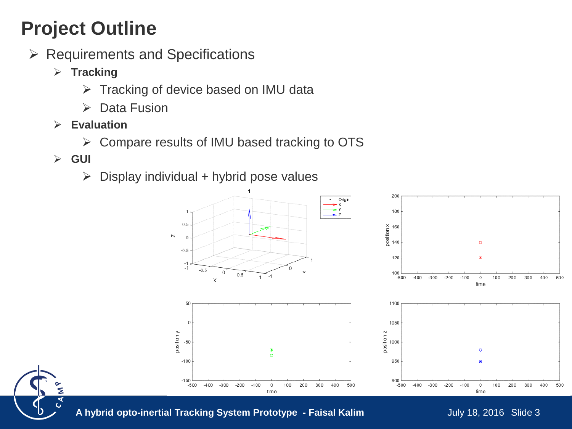# **Project Outline**

- $\triangleright$  Requirements and Specifications
	- **▶ Tracking** 
		- $\triangleright$  Tracking of device based on IMU data
		- $\triangleright$  Data Fusion
	- **Evaluation**
		- Compare results of IMU based tracking to OTS
	- **GUI**
		- $\triangleright$  Display individual + hybrid pose values





A hybrid opto-inertial Tracking System Prototype - Faisal Kalim July 18, 2016 Slide 3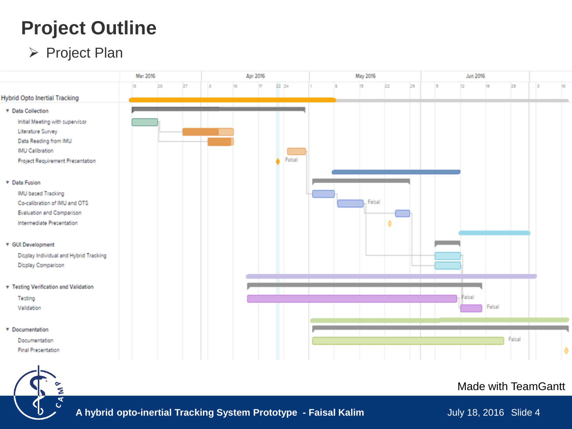#### **Project Outline**

#### ▶ Project Plan

G



#### Made with TeamGantt

**A hybrid opto-inertial Tracking System Prototype - Faisal Kalim**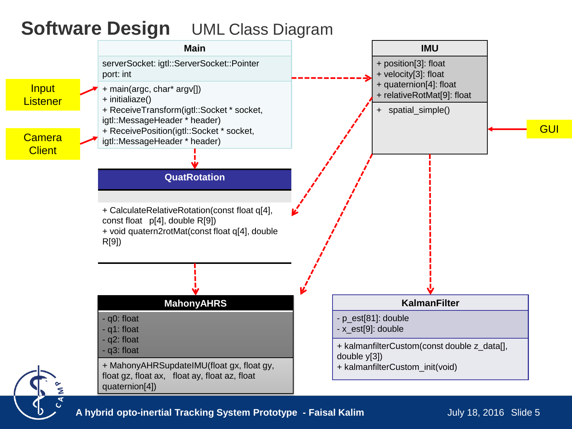#### **Software Design UML Class Diagram**



**A hybrid opto-inertial Tracking System Prototype - Faisal Kalim July 18, 2016 Slide 5**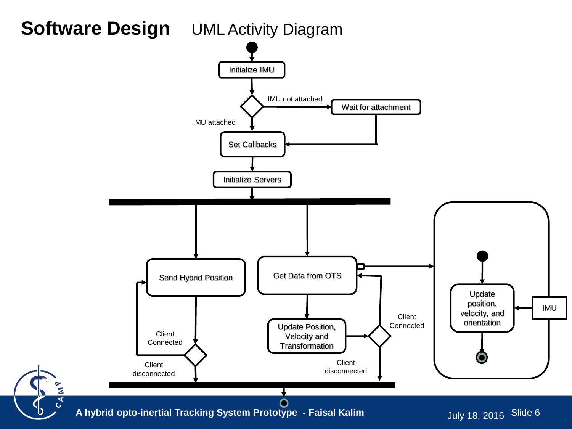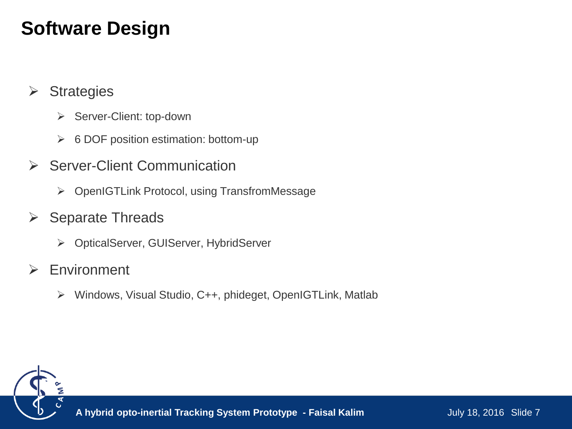### **Software Design**

- $\triangleright$  Strategies
	- ▶ Server-Client: top-down
	- $\triangleright$  6 DOF position estimation: bottom-up
- **▶ Server-Client Communication** 
	- ▶ OpenIGTLink Protocol, using TransfromMessage
- $\triangleright$  Separate Threads
	- OpticalServer, GUIServer, HybridServer
- **► Environment** 
	- Windows, Visual Studio, C++, phideget, OpenIGTLink, Matlab

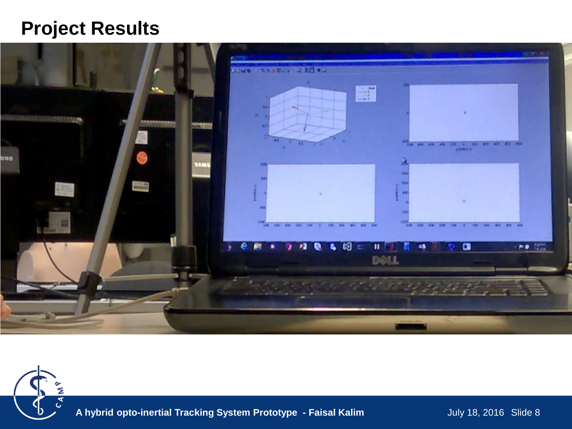#### **Project Results**





**A hybrid opto-inertial Tracking System Prototype - Faisal Kalim**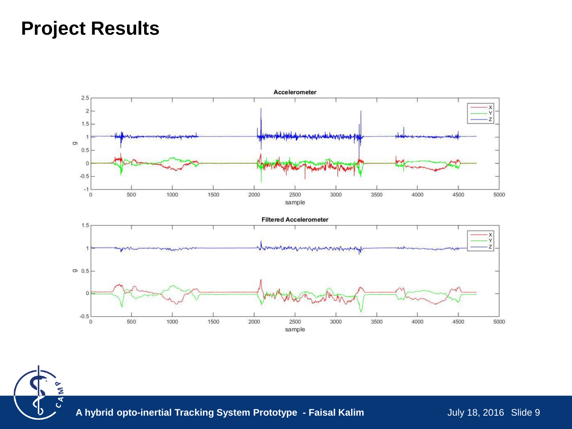#### **Project Results**

Σ  $C_{\mathcal{A}}$ 



**A hybrid opto-inertial Tracking System Prototype - Faisal Kalim**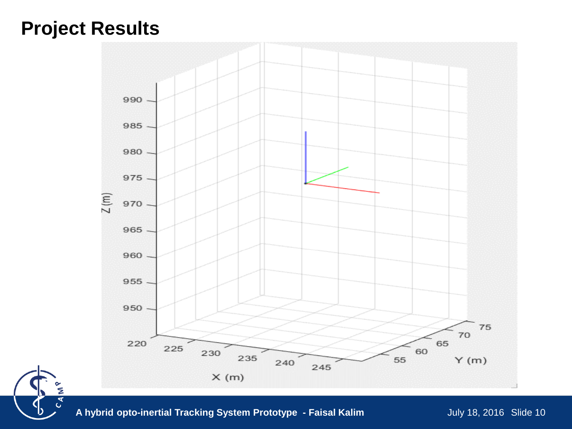#### **Project Results**

š  $C_A$ 



**A hybrid opto-inertial Tracking System Prototype - Faisal Kalim**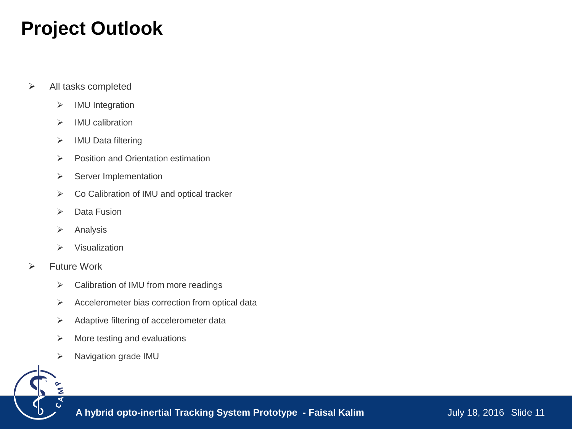#### **Project Outlook**

- $\triangleright$  All tasks completed
	- > IMU Integration
	- $\triangleright$  IMU calibration
	- > IMU Data filtering
	- $\triangleright$  Position and Orientation estimation
	- $\triangleright$  Server Implementation
	- ▶ Co Calibration of IMU and optical tracker
	- $\triangleright$  Data Fusion
	- $\triangleright$  Analysis
	- $\triangleright$  Visualization
- Future Work
	- $\triangleright$  Calibration of IMU from more readings
	- $\triangleright$  Accelerometer bias correction from optical data
	- $\triangleright$  Adaptive filtering of accelerometer data
	- $\triangleright$  More testing and evaluations
	- Navigation grade IMU



**A hybrid opto-inertial Tracking System Prototype - Faisal Kalim**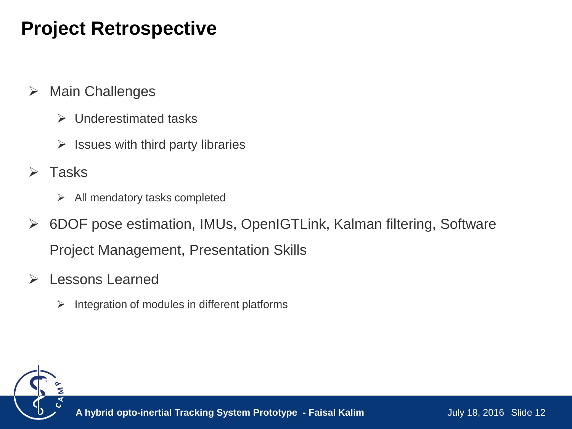### **Project Retrospective**

- $\triangleright$  Main Challenges
	- $\triangleright$  Underestimated tasks
	- $\triangleright$  Issues with third party libraries
- $\triangleright$  Tasks
	- $\triangleright$  All mendatory tasks completed
- 6DOF pose estimation, IMUs, OpenIGTLink, Kalman filtering, Software Project Management, Presentation Skills
- **► Lessons Learned** 
	- $\triangleright$  Integration of modules in different platforms